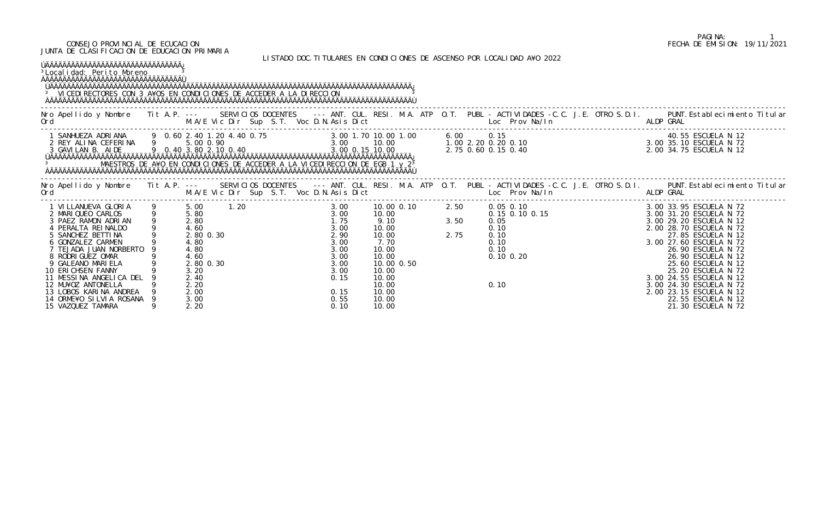## CONSEJO PROVINCIAL DE ECUCACION FECHA DE EMISION: 19/11/2021 JUNTA DE CLASIFICACION DE EDUCACION PRIMARIA

LISTADO DOC.TITULARES EN CONDICIONES DE ASCENSO POR LOCALIDAD A¥O 2022

| ÚÄÄÄÄÄÄÄÄÄÄÄÄÄÄÄÄÄÄÄÄÄÄÄÄÄÄÄÄÄÄÄÄÄÄÄ<br><sup>3</sup> Local i dad: Peri to Moreno<br><sup>3</sup> VICEDI RECTORES CON 3 A¥OS EN CONDICIONES DE ACCEDER A LA DIRECCION |  |  |  |  |  |  |                                                                                                                                                                                                                                                                                                                                                                                                                                     |  |  |  |  |
|----------------------------------------------------------------------------------------------------------------------------------------------------------------------|--|--|--|--|--|--|-------------------------------------------------------------------------------------------------------------------------------------------------------------------------------------------------------------------------------------------------------------------------------------------------------------------------------------------------------------------------------------------------------------------------------------|--|--|--|--|
|                                                                                                                                                                      |  |  |  |  |  |  | Nro Apellido y Nombre Tit A.P. --- SERVICIOS DOCENTES --- ANT. CUL. RESI. M.A. ATP O.T. PUBL - ACTIVIDADES -C.C. J.E. OTRO S.D.I. PUNT.Establecimiento Titular<br>Ord M.A/E Vic Dir Sup S.T. Voc D.N.Asis Dict Loc Prov Na/In ALD                                                                                                                                                                                                   |  |  |  |  |
|                                                                                                                                                                      |  |  |  |  |  |  |                                                                                                                                                                                                                                                                                                                                                                                                                                     |  |  |  |  |
|                                                                                                                                                                      |  |  |  |  |  |  | No Apellido y Nombre Tit A.P. -- SERVICIOS DOCENTES --- ANT. CUL. RESI. M.A. ATP 0.T. PUBL - ACTIVIDADES -C.C. J.E. OTRO S.D.I. PUNT.Establecimiento Titular<br>Ord M.A/E Vic Dir Sup S.T. Voc D.N.Asis Dict Loce Prov Na/In ALDP                                                                                                                                                                                                   |  |  |  |  |
|                                                                                                                                                                      |  |  |  |  |  |  | $\begin{tabular}{cccccccc} \textbf{1} & \textbf{1} & \textbf{1} & \textbf{1} & \textbf{1} & \textbf{1} & \textbf{1} & \textbf{1} & \textbf{1} & \textbf{1} & \textbf{1} & \textbf{1} & \textbf{1} & \textbf{1} & \textbf{1} & \textbf{1} & \textbf{1} & \textbf{1} & \textbf{1} & \textbf{1} & \textbf{1} & \textbf{1} & \textbf{1} & \textbf{1} & \textbf{1} & \textbf{1} & \textbf{1} & \textbf{1} & \textbf{1} & \textbf{1} & \$ |  |  |  |  |
|                                                                                                                                                                      |  |  |  |  |  |  |                                                                                                                                                                                                                                                                                                                                                                                                                                     |  |  |  |  |

## PAGINA: 1<br>FECHA DE EMISION: 19/11/2021